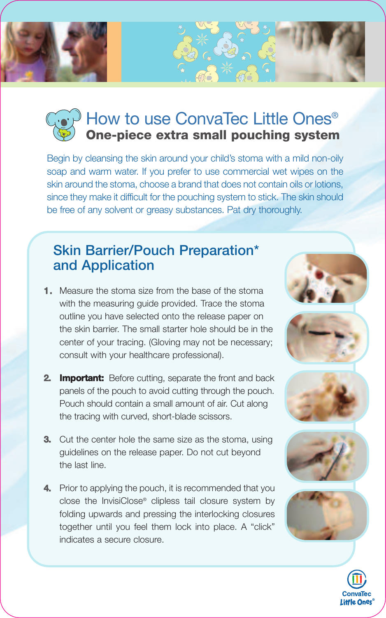

## How to use ConvaTec Little Ones<sup>®</sup> **One-piece extra small pouching system**

Begin by cleansing the skin around your child's stoma with a mild non-oily soap and warm water. If you prefer to use commercial wet wipes on the skin around the stoma, choose a brand that does not contain oils or lotions, since they make it difficult for the pouching system to stick. The skin should be free of any solvent or greasy substances. Pat dry thoroughly.

## **Skin Barrier/Pouch Preparation\* and Application**

- **1.** Measure the stoma size from the base of the stoma with the measuring guide provided. Trace the stoma outline you have selected onto the release paper on the skin barrier. The small starter hole should be in the center of your tracing. (Gloving may not be necessary; consult with your healthcare professional).
- **2. Important:** Before cutting, separate the front and back panels of the pouch to avoid cutting through the pouch. Pouch should contain a small amount of air. Cut along the tracing with curved, short-blade scissors.
- **3.** Cut the center hole the same size as the stoma, using guidelines on the release paper. Do not cut beyond the last line.
- **4.** Prior to applying the pouch, it is recommended that you close the InvisiClose® clipless tail closure system by folding upwards and pressing the interlocking closures together until you feel them lock into place. A "click" indicates a secure closure.